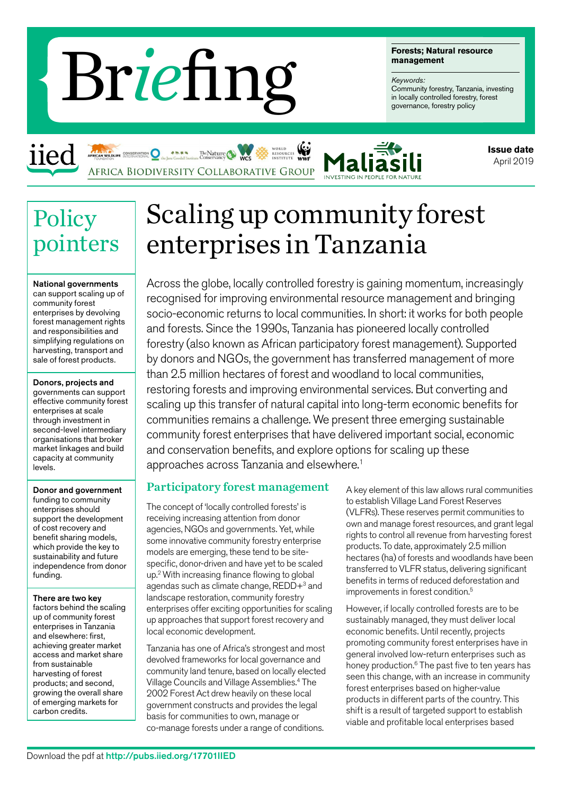# management<br> **Example 1990 Controlled** forestry, Tanzar<br>
in locally controlled forestry<br>
governance, forestry policy

The Nature

**Forests; Natural resource management**

# *Keywords:*

Community forestry, Tanzania, investing<br>in locally controlled forestry, forest



**Issue date** April 2019

# **Policy** pointers

iied

National governments can support scaling up of community forest enterprises by devolving forest management rights and responsibilities and simplifying regulations on harvesting, transport and sale of forest products.

Donors, projects and governments can support effective community forest enterprises at scale through investment in second-level intermediary organisations that broker market linkages and build capacity at community levels.

# Donor and government

funding to community enterprises should support the development of cost recovery and benefit sharing models, which provide the key to sustainability and future independence from donor funding.

There are two key factors behind the scaling up of community forest enterprises in Tanzania and elsewhere: first, achieving greater market access and market share from sustainable harvesting of forest products; and second, growing the overall share of emerging markets for carbon credits.

# Scaling up community forest enterprises in Tanzania

Across the globe, locally controlled forestry is gaining momentum, increasingly recognised for improving environmental resource management and bringing socio-economic returns to local communities. In short: it works for both people and forests. Since the 1990s, Tanzania has pioneered locally controlled forestry (also known as African participatory forest management). Supported by donors and NGOs, the government has transferred management of more than 2.5 million hectares of forest and woodland to local communities, restoring forests and improving environmental services. But converting and scaling up this transfer of natural capital into long-term economic benefits for communities remains a challenge. We present three emerging sustainable community forest enterprises that have delivered important social, economic and conservation benefits, and explore options for scaling up these approaches across Tanzania and elsewhere.<sup>1</sup>

# Participatory forest management

The concept of 'locally controlled forests' is receiving increasing attention from donor agencies, NGOs and governments. Yet, while some innovative community forestry enterprise models are emerging, these tend to be sitespecific, donor-driven and have yet to be scaled up.2 With increasing finance flowing to global agendas such as climate change, REDD+<sup>3</sup> and landscape restoration, community forestry enterprises offer exciting opportunities for scaling up approaches that support forest recovery and local economic development.

Tanzania has one of Africa's strongest and most devolved frameworks for local governance and community land tenure, based on locally elected Village Councils and Village Assemblies.4 The 2002 Forest Act drew heavily on these local government constructs and provides the legal basis for communities to own, manage or co-manage forests under a range of conditions.

A key element of this law allows rural communities to establish Village Land Forest Reserves (VLFRs). These reserves permit communities to own and manage forest resources, and grant legal rights to control all revenue from harvesting forest products. To date, approximately 2.5 million hectares (ha) of forests and woodlands have been transferred to VLFR status, delivering significant benefits in terms of reduced deforestation and improvements in forest condition.<sup>5</sup>

However, if locally controlled forests are to be sustainably managed, they must deliver local economic benefits. Until recently, projects promoting community forest enterprises have in general involved low-return enterprises such as honey production.<sup>6</sup> The past five to ten years has seen this change, with an increase in community forest enterprises based on higher-value products in different parts of the country. This shift is a result of targeted support to establish viable and profitable local enterprises based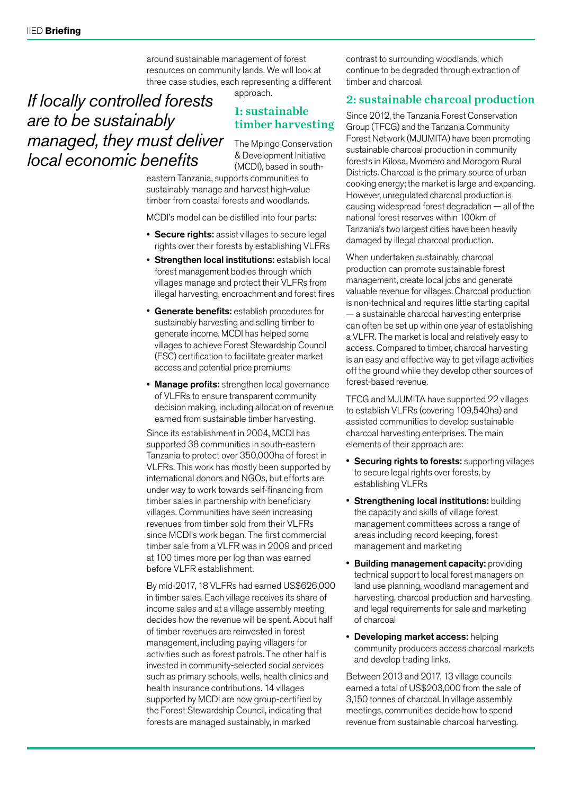around sustainable management of forest resources on community lands. We will look at three case studies, each representing a different approach.

# *If locally controlled forests are to be sustainably managed, they must deliver local economic benefits*

# 1: sustainable timber harvesting

The Mpingo Conservation & Development Initiative (MCDI), based in south-

eastern Tanzania, supports communities to sustainably manage and harvest high-value timber from coastal forests and woodlands.

MCDI's model can be distilled into four parts:

- Secure rights: assist villages to secure legal rights over their forests by establishing VLFRs
- Strengthen local institutions: establish local forest management bodies through which villages manage and protect their VLFRs from illegal harvesting, encroachment and forest fires
- Generate benefits: establish procedures for sustainably harvesting and selling timber to generate income. MCDI has helped some villages to achieve Forest Stewardship Council (FSC) certification to facilitate greater market access and potential price premiums
- Manage profits: strengthen local governance of VLFRs to ensure transparent community decision making, including allocation of revenue earned from sustainable timber harvesting.

Since its establishment in 2004, MCDI has supported 38 communities in south-eastern Tanzania to protect over 350,000ha of forest in VLFRs. This work has mostly been supported by international donors and NGOs, but efforts are under way to work towards self-financing from timber sales in partnership with beneficiary villages. Communities have seen increasing revenues from timber sold from their VLFRs since MCDI's work began. The first commercial timber sale from a VLFR was in 2009 and priced at 100 times more per log than was earned before VLFR establishment.

By mid-2017, 18 VLFRs had earned US\$626,000 in timber sales. Each village receives its share of income sales and at a village assembly meeting decides how the revenue will be spent. About half of timber revenues are reinvested in forest management, including paying villagers for activities such as forest patrols. The other half is invested in community-selected social services such as primary schools, wells, health clinics and health insurance contributions. 14 villages supported by MCDI are now group-certified by the Forest Stewardship Council, indicating that forests are managed sustainably, in marked

contrast to surrounding woodlands, which continue to be degraded through extraction of timber and charcoal.

# 2: sustainable charcoal production

Since 2012, the Tanzania Forest Conservation Group (TFCG) and the Tanzania Community Forest Network (MJUMITA) have been promoting sustainable charcoal production in community forests in Kilosa, Mvomero and Morogoro Rural Districts. Charcoal is the primary source of urban cooking energy; the market is large and expanding. However, unregulated charcoal production is causing widespread forest degradation — all of the national forest reserves within 100km of Tanzania's two largest cities have been heavily damaged by illegal charcoal production.

When undertaken sustainably, charcoal production can promote sustainable forest management, create local jobs and generate valuable revenue for villages. Charcoal production is non-technical and requires little starting capital — a sustainable charcoal harvesting enterprise can often be set up within one year of establishing a VLFR. The market is local and relatively easy to access. Compared to timber, charcoal harvesting is an easy and effective way to get village activities off the ground while they develop other sources of forest-based revenue.

TFCG and MJUMITA have supported 22 villages to establish VLFRs (covering 109,540ha) and assisted communities to develop sustainable charcoal harvesting enterprises. The main elements of their approach are:

- Securing rights to forests: supporting villages to secure legal rights over forests, by establishing VLFRs
- Strengthening local institutions: building the capacity and skills of village forest management committees across a range of areas including record keeping, forest management and marketing
- Building management capacity: providing technical support to local forest managers on land use planning, woodland management and harvesting, charcoal production and harvesting, and legal requirements for sale and marketing of charcoal
- Developing market access: helping community producers access charcoal markets and develop trading links.

Between 2013 and 2017, 13 village councils earned a total of US\$203,000 from the sale of 3,150 tonnes of charcoal. In village assembly meetings, communities decide how to spend revenue from sustainable charcoal harvesting.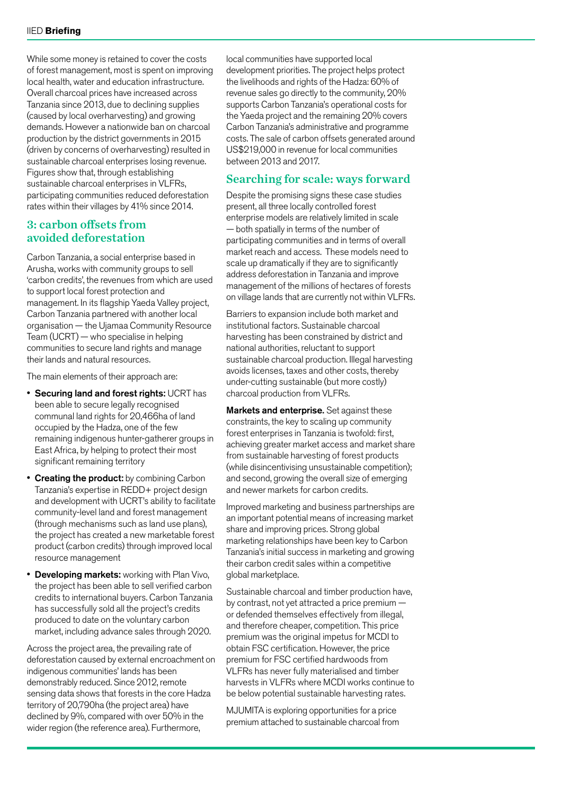While some money is retained to cover the costs of forest management, most is spent on improving local health, water and education infrastructure. Overall charcoal prices have increased across Tanzania since 2013, due to declining supplies (caused by local overharvesting) and growing demands. However a nationwide ban on charcoal production by the district governments in 2015 (driven by concerns of overharvesting) resulted in sustainable charcoal enterprises losing revenue. Figures show that, through establishing sustainable charcoal enterprises in VLFRs, participating communities reduced deforestation rates within their villages by 41% since 2014.

# 3: carbon offsets from avoided deforestation

Carbon Tanzania, a social enterprise based in Arusha, works with community groups to sell 'carbon credits', the revenues from which are used to support local forest protection and management. In its flagship Yaeda Valley project, Carbon Tanzania partnered with another local organisation — the Ujamaa Community Resource Team (UCRT) — who specialise in helping communities to secure land rights and manage their lands and natural resources.

The main elements of their approach are:

- Securing land and forest rights: UCRT has been able to secure legally recognised communal land rights for 20,466ha of land occupied by the Hadza, one of the few remaining indigenous hunter-gatherer groups in East Africa, by helping to protect their most significant remaining territory
- **Creating the product:** by combining Carbon Tanzania's expertise in REDD+ project design and development with UCRT's ability to facilitate community-level land and forest management (through mechanisms such as land use plans), the project has created a new marketable forest product (carbon credits) through improved local resource management
- **Developing markets:** working with Plan Vivo, the project has been able to sell verified carbon credits to international buyers. Carbon Tanzania has successfully sold all the project's credits produced to date on the voluntary carbon market, including advance sales through 2020.

Across the project area, the prevailing rate of deforestation caused by external encroachment on indigenous communities' lands has been demonstrably reduced. Since 2012, remote sensing data shows that forests in the core Hadza territory of 20,790ha (the project area) have declined by 9%, compared with over 50% in the wider region (the reference area). Furthermore,

local communities have supported local development priorities. The project helps protect the livelihoods and rights of the Hadza: 60% of revenue sales go directly to the community, 20% supports Carbon Tanzania's operational costs for the Yaeda project and the remaining 20% covers Carbon Tanzania's administrative and programme costs. The sale of carbon offsets generated around US\$219,000 in revenue for local communities between 2013 and 2017.

## Searching for scale: ways forward

Despite the promising signs these case studies present, all three locally controlled forest enterprise models are relatively limited in scale — both spatially in terms of the number of participating communities and in terms of overall market reach and access. These models need to scale up dramatically if they are to significantly address deforestation in Tanzania and improve management of the millions of hectares of forests on village lands that are currently not within VLFRs.

Barriers to expansion include both market and institutional factors. Sustainable charcoal harvesting has been constrained by district and national authorities, reluctant to support sustainable charcoal production. Illegal harvesting avoids licenses, taxes and other costs, thereby under-cutting sustainable (but more costly) charcoal production from VLFRs.

**Markets and enterprise.** Set against these constraints, the key to scaling up community forest enterprises in Tanzania is twofold: first, achieving greater market access and market share from sustainable harvesting of forest products (while disincentivising unsustainable competition); and second, growing the overall size of emerging and newer markets for carbon credits.

Improved marketing and business partnerships are an important potential means of increasing market share and improving prices. Strong global marketing relationships have been key to Carbon Tanzania's initial success in marketing and growing their carbon credit sales within a competitive global marketplace.

Sustainable charcoal and timber production have, by contrast, not yet attracted a price premium or defended themselves effectively from illegal, and therefore cheaper, competition. This price premium was the original impetus for MCDI to obtain FSC certification. However, the price premium for FSC certified hardwoods from VLFRs has never fully materialised and timber harvests in VLFRs where MCDI works continue to be below potential sustainable harvesting rates.

MJUMITA is exploring opportunities for a price premium attached to sustainable charcoal from